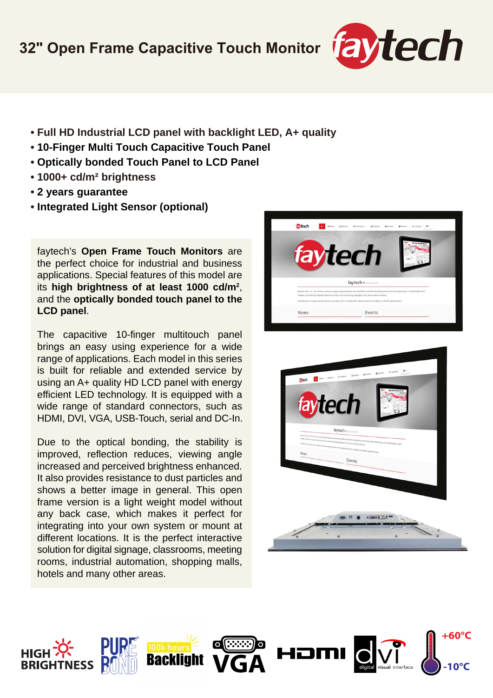

- **Full HD Industrial LCD panel with backlight LED, A+ quality**
- **10-Finger Multi Touch Capacitive Touch Panel**
- **Optically bonded Touch Panel to LCD Panel**
- **1000+ cd/m² brightness**
- **2 years guarantee**
- **Integrated Light Sensor (optional)**

faytech's **Open Frame Touch Monitors** are the perfect choice for industrial and business applications. Special features of this model are its **high brightness of at least 1000 cd/m2** , and the **optically bonded touch panel to the LCD panel**.

The capacitive 10-finger multitouch panel brings an easy using experience for a wide range of applications. Each model in this series is built for reliable and extended service by using an A+ quality HD LCD panel with energy efficient LED technology. It is equipped with a wide range of standard connectors, such as HDMI, DVI, VGA, USB-Touch, serial and DC-In.

Due to the optical bonding, the stability is improved, reflection reduces, viewing angle increased and perceived brightness enhanced. It also provides resistance to dust particles and shows a better image in general. This open frame version is a light weight model without any back case, which makes it perfect for integrating into your own system or mount at different locations. It is the perfect interactive solution for digital signage, classrooms, meeting rooms, industrial automation, shopping malls, hotels and many other areas.